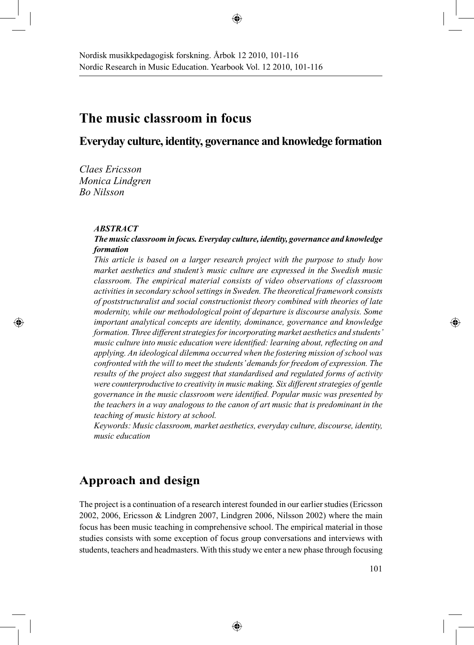## **The music classroom in focus**

### **Everyday culture, identity, governance and knowledge formation**

♠

*Claes Ericsson Monica Lindgren Bo Nilsson*

#### *ABSTRACT*

⊕

### *The music classroom in focus. Everyday culture, identity, governance and knowledge formation*

*This article is based on a larger research project with the purpose to study how market aesthetics and student's music culture are expressed in the Swedish music classroom. The empirical material consists of video observations of classroom activities in secondary school settings in Sweden. The theoretical framework consists of poststructuralist and social constructionist theory combined with theories of late modernity, while our methodological point of departure is discourse analysis. Some important analytical concepts are identity, dominance, governance and knowledge formation. Three different strategies for incorporating market aesthetics and students' music culture into music education were identified: learning about, reflecting on and applying. An ideological dilemma occurred when the fostering mission of school was confronted with the will to meet the students' demands for freedom of expression. The results of the project also suggest that standardised and regulated forms of activity were counterproductive to creativity in music making. Six different strategies of gentle governance in the music classroom were identified. Popular music was presented by the teachers in a way analogous to the canon of art music that is predominant in the teaching of music history at school.*

*Keywords: Music classroom, market aesthetics, everyday culture, discourse, identity, music education*

## **Approach and design**

The project is a continuation of a research interest founded in our earlier studies (Ericsson 2002, 2006, Ericsson & Lindgren 2007, Lindgren 2006, Nilsson 2002) where the main focus has been music teaching in comprehensive school. The empirical material in those studies consists with some exception of focus group conversations and interviews with students, teachers and headmasters. With this study we enter a new phase through focusing

⊕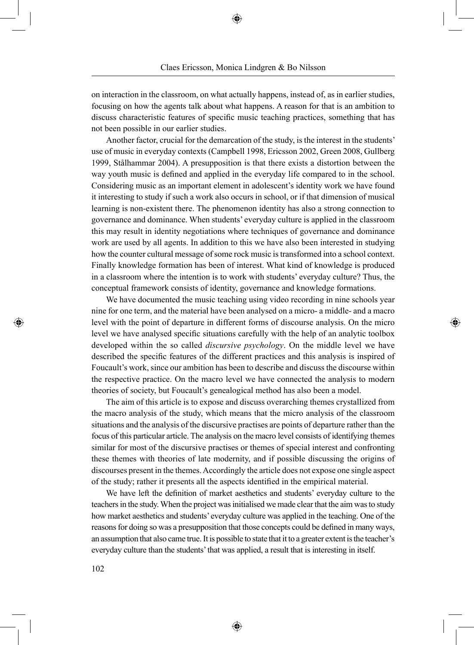on interaction in the classroom, on what actually happens, instead of, as in earlier studies, focusing on how the agents talk about what happens. A reason for that is an ambition to discuss characteristic features of specific music teaching practices, something that has not been possible in our earlier studies.

Another factor, crucial for the demarcation of the study, is the interest in the students' use of music in everyday contexts (Campbell 1998, Ericsson 2002, Green 2008, Gullberg 1999, Stålhammar 2004). A presupposition is that there exists a distortion between the way youth music is defined and applied in the everyday life compared to in the school. Considering music as an important element in adolescent's identity work we have found it interesting to study if such a work also occurs in school, or if that dimension of musical learning is non-existent there. The phenomenon identity has also a strong connection to governance and dominance. When students' everyday culture is applied in the classroom this may result in identity negotiations where techniques of governance and dominance work are used by all agents. In addition to this we have also been interested in studying how the counter cultural message of some rock music is transformed into a school context. Finally knowledge formation has been of interest. What kind of knowledge is produced in a classroom where the intention is to work with students' everyday culture? Thus, the conceptual framework consists of identity, governance and knowledge formations.

We have documented the music teaching using video recording in nine schools year nine for one term, and the material have been analysed on a micro- a middle- and a macro level with the point of departure in different forms of discourse analysis. On the micro level we have analysed specific situations carefully with the help of an analytic toolbox developed within the so called *discursive psychology*. On the middle level we have described the specific features of the different practices and this analysis is inspired of Foucault's work, since our ambition has been to describe and discuss the discourse within the respective practice. On the macro level we have connected the analysis to modern theories of society, but Foucault's genealogical method has also been a model.

</del>

The aim of this article is to expose and discuss overarching themes crystallized from the macro analysis of the study, which means that the micro analysis of the classroom situations and the analysis of the discursive practises are points of departure rather than the focus of this particular article. The analysis on the macro level consists of identifying themes similar for most of the discursive practises or themes of special interest and confronting these themes with theories of late modernity, and if possible discussing the origins of discourses present in the themes. Accordingly the article does not expose one single aspect of the study; rather it presents all the aspects identified in the empirical material.

We have left the definition of market aesthetics and students' everyday culture to the teachers in the study. When the project was initialised we made clear that the aim was to study how market aesthetics and students' everyday culture was applied in the teaching. One of the reasons for doing so was a presupposition that those concepts could be defined in many ways, an assumption that also came true. It is possible to state that it to a greater extent is the teacher's everyday culture than the students' that was applied, a result that is interesting in itself.

⊕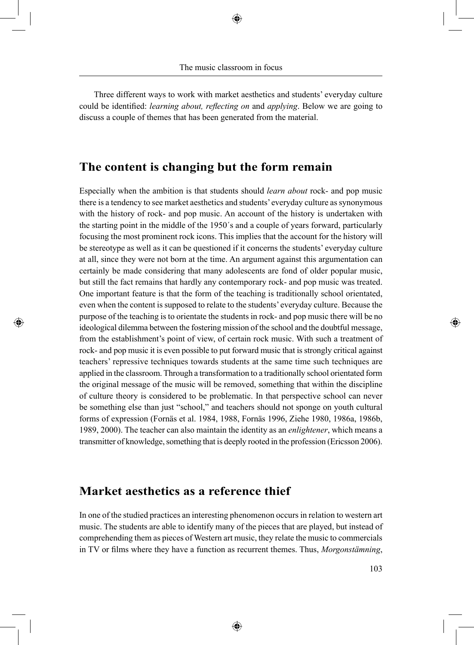Three different ways to work with market aesthetics and students' everyday culture could be identified: *learning about, reflecting on* and *applying*. Below we are going to discuss a couple of themes that has been generated from the material.

## **The content is changing but the form remain**

Especially when the ambition is that students should *learn about* rock- and pop music there is a tendency to see market aesthetics and students' everyday culture as synonymous with the history of rock- and pop music. An account of the history is undertaken with the starting point in the middle of the 1950´s and a couple of years forward, particularly focusing the most prominent rock icons. This implies that the account for the history will be stereotype as well as it can be questioned if it concerns the students' everyday culture at all, since they were not born at the time. An argument against this argumentation can certainly be made considering that many adolescents are fond of older popular music, but still the fact remains that hardly any contemporary rock- and pop music was treated. One important feature is that the form of the teaching is traditionally school orientated, even when the content is supposed to relate to the students' everyday culture. Because the purpose of the teaching is to orientate the students in rock- and pop music there will be no ideological dilemma between the fostering mission of the school and the doubtful message, from the establishment's point of view, of certain rock music. With such a treatment of rock- and pop music it is even possible to put forward music that is strongly critical against teachers' repressive techniques towards students at the same time such techniques are applied in the classroom. Through a transformation to a traditionally school orientated form the original message of the music will be removed, something that within the discipline of culture theory is considered to be problematic. In that perspective school can never be something else than just "school," and teachers should not sponge on youth cultural forms of expression (Fornäs et al. 1984, 1988, Fornäs 1996, Ziehe 1980, 1986a, 1986b, 1989, 2000). The teacher can also maintain the identity as an *enlightener*, which means a transmitter of knowledge, something that is deeply rooted in the profession (Ericsson 2006).

### **Market aesthetics as a reference thief**

⊕

In one of the studied practices an interesting phenomenon occurs in relation to western art music. The students are able to identify many of the pieces that are played, but instead of comprehending them as pieces of Western art music, they relate the music to commercials in TV or films where they have a function as recurrent themes. Thus, *Morgonstämning*,

⊕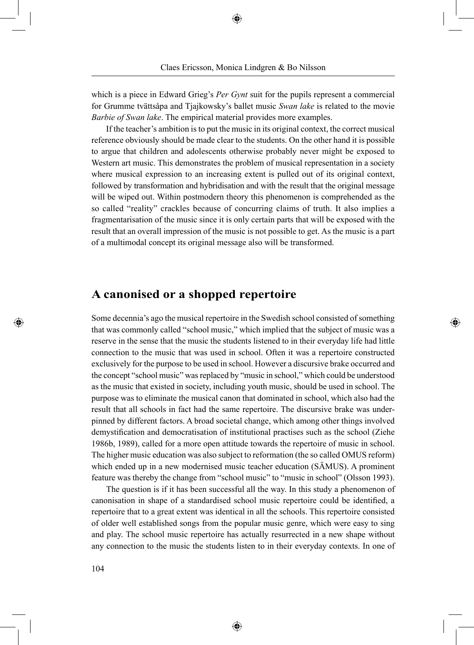which is a piece in Edward Grieg's *Per Gynt* suit for the pupils represent a commercial for Grumme tvättsåpa and Tjajkowsky's ballet music *Swan lake* is related to the movie *Barbie of Swan lake*. The empirical material provides more examples.

If the teacher's ambition is to put the music in its original context, the correct musical reference obviously should be made clear to the students. On the other hand it is possible to argue that children and adolescents otherwise probably never might be exposed to Western art music. This demonstrates the problem of musical representation in a society where musical expression to an increasing extent is pulled out of its original context, followed by transformation and hybridisation and with the result that the original message will be wiped out. Within postmodern theory this phenomenon is comprehended as the so called "reality" crackles because of concurring claims of truth. It also implies a fragmentarisation of the music since it is only certain parts that will be exposed with the result that an overall impression of the music is not possible to get. As the music is a part of a multimodal concept its original message also will be transformed.

## **A canonised or a shopped repertoire**

Some decennia's ago the musical repertoire in the Swedish school consisted of something that was commonly called "school music," which implied that the subject of music was a reserve in the sense that the music the students listened to in their everyday life had little connection to the music that was used in school. Often it was a repertoire constructed exclusively for the purpose to be used in school. However a discursive brake occurred and the concept "school music" was replaced by "music in school," which could be understood as the music that existed in society, including youth music, should be used in school. The purpose was to eliminate the musical canon that dominated in school, which also had the result that all schools in fact had the same repertoire. The discursive brake was underpinned by different factors. A broad societal change, which among other things involved demystification and democratisation of institutional practises such as the school (Ziehe 1986b, 1989), called for a more open attitude towards the repertoire of music in school. The higher music education was also subject to reformation (the so called OMUS reform) which ended up in a new modernised music teacher education (SÄMUS). A prominent feature was thereby the change from "school music" to "music in school" (Olsson 1993).

⊕

The question is if it has been successful all the way. In this study a phenomenon of canonisation in shape of a standardised school music repertoire could be identified, a repertoire that to a great extent was identical in all the schools. This repertoire consisted of older well established songs from the popular music genre, which were easy to sing and play. The school music repertoire has actually resurrected in a new shape without any connection to the music the students listen to in their everyday contexts. In one of

⊕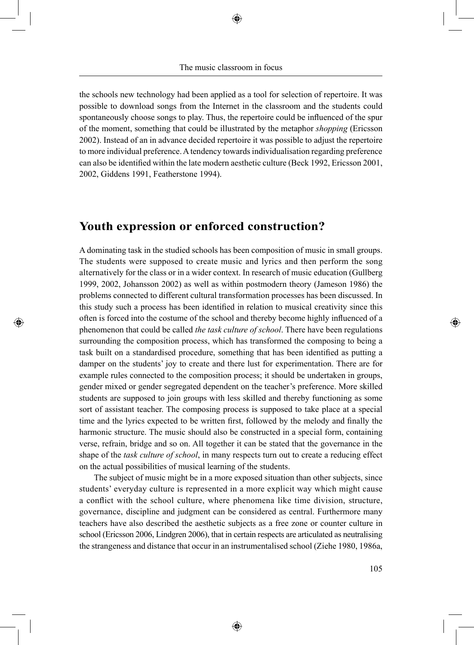the schools new technology had been applied as a tool for selection of repertoire. It was possible to download songs from the Internet in the classroom and the students could spontaneously choose songs to play. Thus, the repertoire could be influenced of the spur of the moment, something that could be illustrated by the metaphor *shopping* (Ericsson 2002). Instead of an in advance decided repertoire it was possible to adjust the repertoire to more individual preference. A tendency towards individualisation regarding preference can also be identified within the late modern aesthetic culture (Beck 1992, Ericsson 2001, 2002, Giddens 1991, Featherstone 1994).

## **Youth expression or enforced construction?**

◈

A dominating task in the studied schools has been composition of music in small groups. The students were supposed to create music and lyrics and then perform the song alternatively for the class or in a wider context. In research of music education (Gullberg 1999, 2002, Johansson 2002) as well as within postmodern theory (Jameson 1986) the problems connected to different cultural transformation processes has been discussed. In this study such a process has been identified in relation to musical creativity since this often is forced into the costume of the school and thereby become highly influenced of a phenomenon that could be called *the task culture of school*. There have been regulations surrounding the composition process, which has transformed the composing to being a task built on a standardised procedure, something that has been identified as putting a damper on the students' joy to create and there lust for experimentation. There are for example rules connected to the composition process; it should be undertaken in groups, gender mixed or gender segregated dependent on the teacher's preference. More skilled students are supposed to join groups with less skilled and thereby functioning as some sort of assistant teacher. The composing process is supposed to take place at a special time and the lyrics expected to be written first, followed by the melody and finally the harmonic structure. The music should also be constructed in a special form, containing verse, refrain, bridge and so on. All together it can be stated that the governance in the shape of the *task culture of school*, in many respects turn out to create a reducing effect on the actual possibilities of musical learning of the students.

The subject of music might be in a more exposed situation than other subjects, since students' everyday culture is represented in a more explicit way which might cause a conflict with the school culture, where phenomena like time division, structure, governance, discipline and judgment can be considered as central. Furthermore many teachers have also described the aesthetic subjects as a free zone or counter culture in school (Ericsson 2006, Lindgren 2006), that in certain respects are articulated as neutralising the strangeness and distance that occur in an instrumentalised school (Ziehe 1980, 1986a, ⊕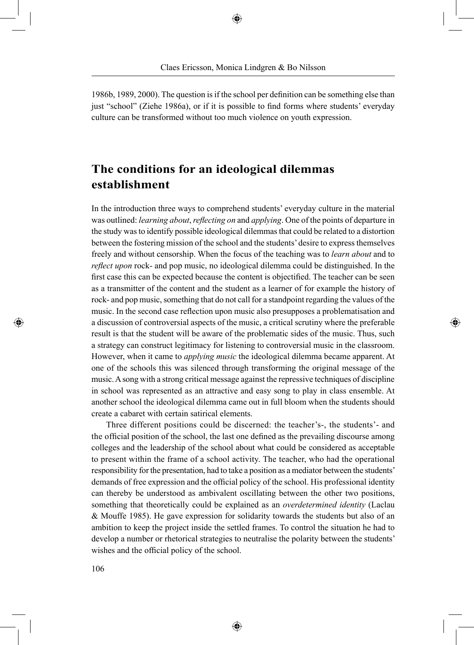1986b, 1989, 2000). The question is if the school per definition can be something else than just "school" (Ziehe 1986a), or if it is possible to find forms where students' everyday culture can be transformed without too much violence on youth expression.

# **The conditions for an ideological dilemmas establishment**

In the introduction three ways to comprehend students' everyday culture in the material was outlined: *learning about*, *reflecting on* and *applying*. One of the points of departure in the study was to identify possible ideological dilemmas that could be related to a distortion between the fostering mission of the school and the students' desire to express themselves freely and without censorship. When the focus of the teaching was to *learn about* and to *reflect upon* rock- and pop music, no ideological dilemma could be distinguished. In the first case this can be expected because the content is objectified. The teacher can be seen as a transmitter of the content and the student as a learner of for example the history of rock- and pop music, something that do not call for a standpoint regarding the values of the music. In the second case reflection upon music also presupposes a problematisation and a discussion of controversial aspects of the music, a critical scrutiny where the preferable result is that the student will be aware of the problematic sides of the music. Thus, such a strategy can construct legitimacy for listening to controversial music in the classroom. However, when it came to *applying music* the ideological dilemma became apparent. At one of the schools this was silenced through transforming the original message of the music. A song with a strong critical message against the repressive techniques of discipline in school was represented as an attractive and easy song to play in class ensemble. At another school the ideological dilemma came out in full bloom when the students should create a cabaret with certain satirical elements.

⊕

Three different positions could be discerned: the teacher's-, the students'- and the official position of the school, the last one defined as the prevailing discourse among colleges and the leadership of the school about what could be considered as acceptable to present within the frame of a school activity. The teacher, who had the operational responsibility for the presentation, had to take a position as a mediator between the students' demands of free expression and the official policy of the school. His professional identity can thereby be understood as ambivalent oscillating between the other two positions, something that theoretically could be explained as an *overdetermined identity* (Laclau & Mouffe 1985). He gave expression for solidarity towards the students but also of an ambition to keep the project inside the settled frames. To control the situation he had to develop a number or rhetorical strategies to neutralise the polarity between the students' wishes and the official policy of the school.

⊕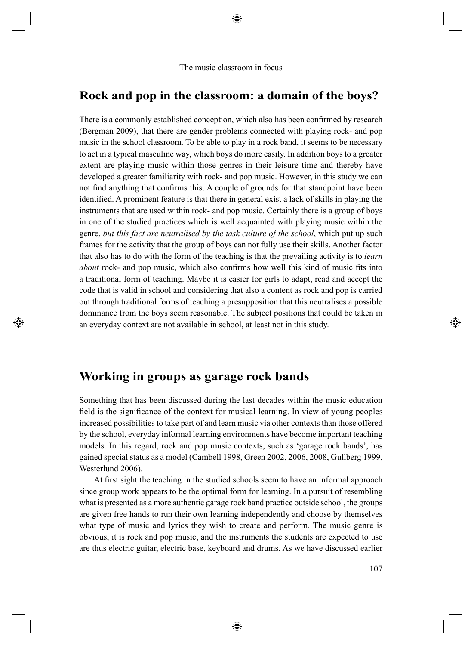## **Rock and pop in the classroom: a domain of the boys?**

There is a commonly established conception, which also has been confirmed by research (Bergman 2009), that there are gender problems connected with playing rock- and pop music in the school classroom. To be able to play in a rock band, it seems to be necessary to act in a typical masculine way, which boys do more easily. In addition boys to a greater extent are playing music within those genres in their leisure time and thereby have developed a greater familiarity with rock- and pop music. However, in this study we can not find anything that confirms this. A couple of grounds for that standpoint have been identified. A prominent feature is that there in general exist a lack of skills in playing the instruments that are used within rock- and pop music. Certainly there is a group of boys in one of the studied practices which is well acquainted with playing music within the genre, *but this fact are neutralised by the task culture of the school*, which put up such frames for the activity that the group of boys can not fully use their skills. Another factor that also has to do with the form of the teaching is that the prevailing activity is to *learn about* rock- and pop music, which also confirms how well this kind of music fits into a traditional form of teaching. Maybe it is easier for girls to adapt, read and accept the code that is valid in school and considering that also a content as rock and pop is carried out through traditional forms of teaching a presupposition that this neutralises a possible dominance from the boys seem reasonable. The subject positions that could be taken in an everyday context are not available in school, at least not in this study.

## **Working in groups as garage rock bands**

⊕

Something that has been discussed during the last decades within the music education field is the significance of the context for musical learning. In view of young peoples increased possibilities to take part of and learn music via other contexts than those offered by the school, everyday informal learning environments have become important teaching models. In this regard, rock and pop music contexts, such as 'garage rock bands', has gained special status as a model (Cambell 1998, Green 2002, 2006, 2008, Gullberg 1999, Westerlund 2006).

At first sight the teaching in the studied schools seem to have an informal approach since group work appears to be the optimal form for learning. In a pursuit of resembling what is presented as a more authentic garage rock band practice outside school, the groups are given free hands to run their own learning independently and choose by themselves what type of music and lyrics they wish to create and perform. The music genre is obvious, it is rock and pop music, and the instruments the students are expected to use are thus electric guitar, electric base, keyboard and drums. As we have discussed earlier

⊕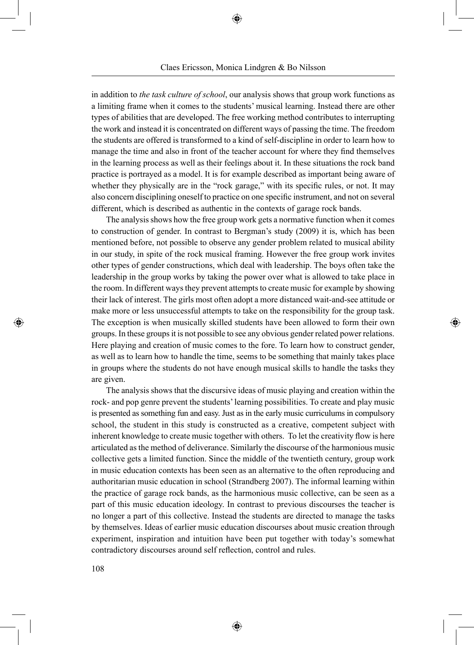### Claes Ericsson, Monica Lindgren & Bo Nilsson

♠

in addition to *the task culture of school*, our analysis shows that group work functions as a limiting frame when it comes to the students' musical learning. Instead there are other types of abilities that are developed. The free working method contributes to interrupting the work and instead it is concentrated on different ways of passing the time. The freedom the students are offered is transformed to a kind of self-discipline in order to learn how to manage the time and also in front of the teacher account for where they find themselves in the learning process as well as their feelings about it. In these situations the rock band practice is portrayed as a model. It is for example described as important being aware of whether they physically are in the "rock garage," with its specific rules, or not. It may also concern disciplining oneself to practice on one specific instrument, and not on several different, which is described as authentic in the contexts of garage rock bands.

The analysis shows how the free group work gets a normative function when it comes to construction of gender. In contrast to Bergman's study (2009) it is, which has been mentioned before, not possible to observe any gender problem related to musical ability in our study, in spite of the rock musical framing. However the free group work invites other types of gender constructions, which deal with leadership. The boys often take the leadership in the group works by taking the power over what is allowed to take place in the room. In different ways they prevent attempts to create music for example by showing their lack of interest. The girls most often adopt a more distanced wait-and-see attitude or make more or less unsuccessful attempts to take on the responsibility for the group task. The exception is when musically skilled students have been allowed to form their own groups. In these groups it is not possible to see any obvious gender related power relations. Here playing and creation of music comes to the fore. To learn how to construct gender, as well as to learn how to handle the time, seems to be something that mainly takes place in groups where the students do not have enough musical skills to handle the tasks they are given.

</del>

The analysis shows that the discursive ideas of music playing and creation within the rock- and pop genre prevent the students' learning possibilities. To create and play music is presented as something fun and easy. Just as in the early music curriculums in compulsory school, the student in this study is constructed as a creative, competent subject with inherent knowledge to create music together with others. To let the creativity flow is here articulated as the method of deliverance. Similarly the discourse of the harmonious music collective gets a limited function. Since the middle of the twentieth century, group work in music education contexts has been seen as an alternative to the often reproducing and authoritarian music education in school (Strandberg 2007). The informal learning within the practice of garage rock bands, as the harmonious music collective, can be seen as a part of this music education ideology. In contrast to previous discourses the teacher is no longer a part of this collective. Instead the students are directed to manage the tasks by themselves. Ideas of earlier music education discourses about music creation through experiment, inspiration and intuition have been put together with today's somewhat contradictory discourses around self reflection, control and rules.

⊕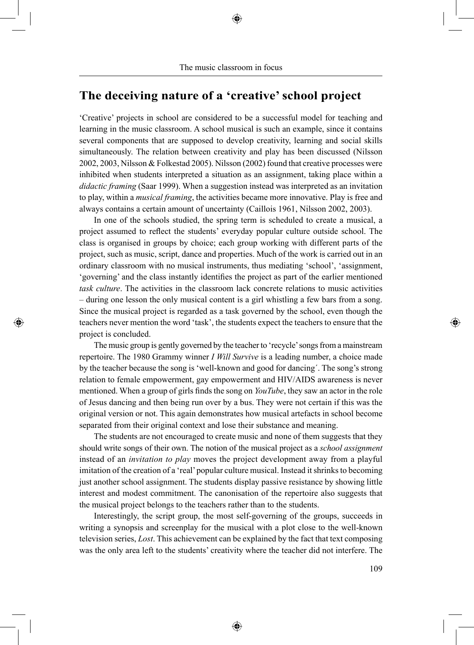# **The deceiving nature of a 'creative' school project**

'Creative' projects in school are considered to be a successful model for teaching and learning in the music classroom. A school musical is such an example, since it contains several components that are supposed to develop creativity, learning and social skills simultaneously. The relation between creativity and play has been discussed (Nilsson 2002, 2003, Nilsson & Folkestad 2005). Nilsson (2002) found that creative processes were inhibited when students interpreted a situation as an assignment, taking place within a *didactic framing* (Saar 1999). When a suggestion instead was interpreted as an invitation to play, within a *musical framing*, the activities became more innovative. Play is free and always contains a certain amount of uncertainty (Caillois 1961, Nilsson 2002, 2003).

In one of the schools studied, the spring term is scheduled to create a musical, a project assumed to reflect the students' everyday popular culture outside school. The class is organised in groups by choice; each group working with different parts of the project, such as music, script, dance and properties. Much of the work is carried out in an ordinary classroom with no musical instruments, thus mediating 'school', 'assignment, 'governing' and the class instantly identifies the project as part of the earlier mentioned *task culture*. The activities in the classroom lack concrete relations to music activities – during one lesson the only musical content is a girl whistling a few bars from a song. Since the musical project is regarded as a task governed by the school, even though the teachers never mention the word 'task', the students expect the teachers to ensure that the project is concluded.

⊕

The music group is gently governed by the teacher to 'recycle' songs from a mainstream repertoire. The 1980 Grammy winner *I Will Survive* is a leading number, a choice made by the teacher because the song is 'well-known and good for dancing´. The song's strong relation to female empowerment, gay empowerment and HIV/AIDS awareness is never mentioned. When a group of girls finds the song on *YouTube*, they saw an actor in the role of Jesus dancing and then being run over by a bus. They were not certain if this was the original version or not. This again demonstrates how musical artefacts in school become separated from their original context and lose their substance and meaning.

The students are not encouraged to create music and none of them suggests that they should write songs of their own. The notion of the musical project as a *school assignment* instead of an *invitation to play* moves the project development away from a playful imitation of the creation of a 'real' popular culture musical. Instead it shrinks to becoming just another school assignment. The students display passive resistance by showing little interest and modest commitment. The canonisation of the repertoire also suggests that the musical project belongs to the teachers rather than to the students.

Interestingly, the script group, the most self-governing of the groups, succeeds in writing a synopsis and screenplay for the musical with a plot close to the well-known television series, *Lost*. This achievement can be explained by the fact that text composing was the only area left to the students' creativity where the teacher did not interfere. The

⊕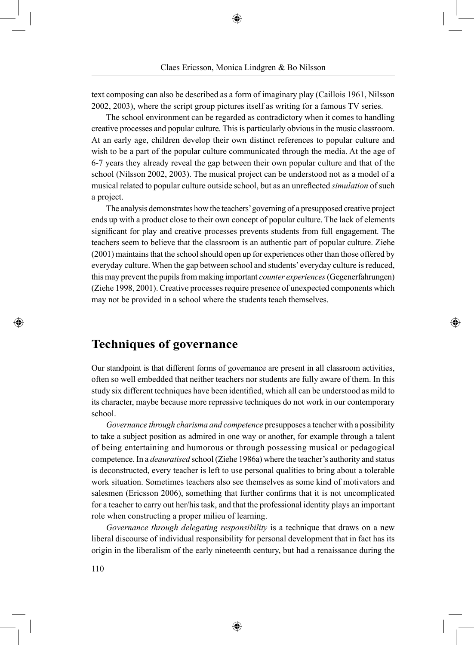text composing can also be described as a form of imaginary play (Caillois 1961, Nilsson 2002, 2003), where the script group pictures itself as writing for a famous TV series.

The school environment can be regarded as contradictory when it comes to handling creative processes and popular culture. This is particularly obvious in the music classroom. At an early age, children develop their own distinct references to popular culture and wish to be a part of the popular culture communicated through the media. At the age of 6-7 years they already reveal the gap between their own popular culture and that of the school (Nilsson 2002, 2003). The musical project can be understood not as a model of a musical related to popular culture outside school, but as an unreflected *simulation* of such a project.

The analysis demonstrates how the teachers' governing of a presupposed creative project ends up with a product close to their own concept of popular culture. The lack of elements significant for play and creative processes prevents students from full engagement. The teachers seem to believe that the classroom is an authentic part of popular culture. Ziehe (2001) maintains that the school should open up for experiences other than those offered by everyday culture. When the gap between school and students' everyday culture is reduced, this may prevent the pupils from making important *counter experiences* (Gegenerfahrungen) (Ziehe 1998, 2001). Creative processes require presence of unexpected components which may not be provided in a school where the students teach themselves.

⊕

## **Techniques of governance**

Our standpoint is that different forms of governance are present in all classroom activities, often so well embedded that neither teachers nor students are fully aware of them. In this study six different techniques have been identified, which all can be understood as mild to its character, maybe because more repressive techniques do not work in our contemporary school.

*Governance through charisma and competence* presupposes a teacher with a possibility to take a subject position as admired in one way or another, for example through a talent of being entertaining and humorous or through possessing musical or pedagogical competence. In a *deauratised* school (Ziehe 1986a) where the teacher's authority and status is deconstructed, every teacher is left to use personal qualities to bring about a tolerable work situation. Sometimes teachers also see themselves as some kind of motivators and salesmen (Ericsson 2006), something that further confirms that it is not uncomplicated for a teacher to carry out her/his task, and that the professional identity plays an important role when constructing a proper milieu of learning.

*Governance through delegating responsibility* is a technique that draws on a new liberal discourse of individual responsibility for personal development that in fact has its origin in the liberalism of the early nineteenth century, but had a renaissance during the

⊕

◈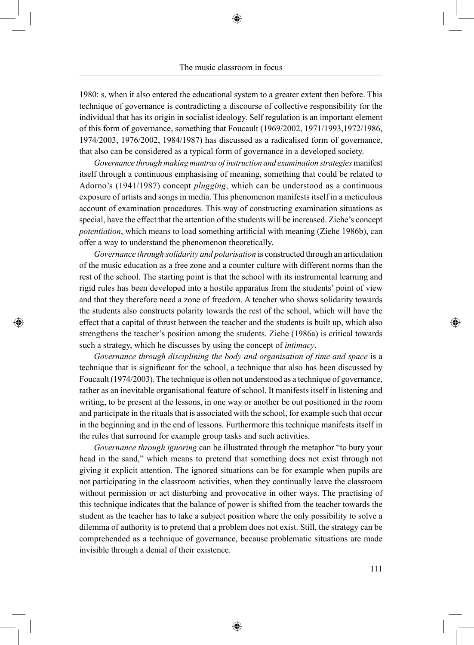1980: s, when it also entered the educational system to a greater extent then before. This technique of governance is contradicting a discourse of collective responsibility for the individual that has its origin in socialist ideology. Self regulation is an important element of this form of governance, something that Foucault (1969/2002, 1971/1993,1972/1986, 1974/2003, 1976/2002, 1984/1987) has discussed as a radicalised form of governance, that also can be considered as a typical form of governance in a developed society.

*Governance through making mantras of instruction and examination strategies* manifest itself through a continuous emphasising of meaning, something that could be related to Adorno's (1941/1987) concept *plugging*, which can be understood as a continuous exposure of artists and songs in media. This phenomenon manifests itself in a meticulous account of examination procedures. This way of constructing examination situations as special, have the effect that the attention of the students will be increased. Ziehe's concept *potentiation*, which means to load something artificial with meaning (Ziehe 1986b), can offer a way to understand the phenomenon theoretically.

*Governance through solidarity and polarisation* is constructed through an articulation of the music education as a free zone and a counter culture with different norms than the rest of the school. The starting point is that the school with its instrumental learning and rigid rules has been developed into a hostile apparatus from the students' point of view and that they therefore need a zone of freedom. A teacher who shows solidarity towards the students also constructs polarity towards the rest of the school, which will have the effect that a capital of thrust between the teacher and the students is built up, which also strengthens the teacher's position among the students. Ziehe (1986a) is critical towards such a strategy, which he discusses by using the concept of *intimacy*.

⊕

*Governance through disciplining the body and organisation of time and space* is a technique that is significant for the school, a technique that also has been discussed by Foucault (1974/2003). The technique is often not understood as a technique of governance, rather as an inevitable organisational feature of school. It manifests itself in listening and writing, to be present at the lessons, in one way or another be out positioned in the room and participate in the rituals that is associated with the school, for example such that occur in the beginning and in the end of lessons. Furthermore this technique manifests itself in the rules that surround for example group tasks and such activities.

*Governance through ignoring* can be illustrated through the metaphor "to bury your head in the sand," which means to pretend that something does not exist through not giving it explicit attention. The ignored situations can be for example when pupils are not participating in the classroom activities, when they continually leave the classroom without permission or act disturbing and provocative in other ways. The practising of this technique indicates that the balance of power is shifted from the teacher towards the student as the teacher has to take a subject position where the only possibility to solve a dilemma of authority is to pretend that a problem does not exist. Still, the strategy can be comprehended as a technique of governance, because problematic situations are made invisible through a denial of their existence.

⊕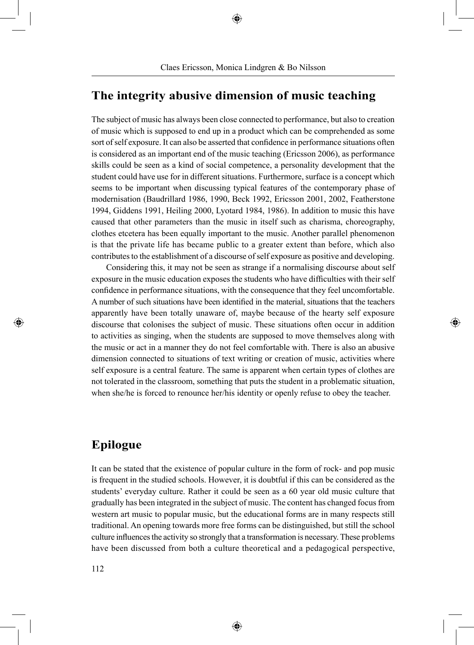## **The integrity abusive dimension of music teaching**

The subject of music has always been close connected to performance, but also to creation of music which is supposed to end up in a product which can be comprehended as some sort of self exposure. It can also be asserted that confidence in performance situations often is considered as an important end of the music teaching (Ericsson 2006), as performance skills could be seen as a kind of social competence, a personality development that the student could have use for in different situations. Furthermore, surface is a concept which seems to be important when discussing typical features of the contemporary phase of modernisation (Baudrillard 1986, 1990, Beck 1992, Ericsson 2001, 2002, Featherstone 1994, Giddens 1991, Heiling 2000, Lyotard 1984, 1986). In addition to music this have caused that other parameters than the music in itself such as charisma, choreography, clothes etcetera has been equally important to the music. Another parallel phenomenon is that the private life has became public to a greater extent than before, which also contributes to the establishment of a discourse of self exposure as positive and developing.

Considering this, it may not be seen as strange if a normalising discourse about self exposure in the music education exposes the students who have difficulties with their self confidence in performance situations, with the consequence that they feel uncomfortable. A number of such situations have been identified in the material, situations that the teachers apparently have been totally unaware of, maybe because of the hearty self exposure discourse that colonises the subject of music. These situations often occur in addition to activities as singing, when the students are supposed to move themselves along with the music or act in a manner they do not feel comfortable with. There is also an abusive dimension connected to situations of text writing or creation of music, activities where self exposure is a central feature. The same is apparent when certain types of clothes are not tolerated in the classroom, something that puts the student in a problematic situation, when she/he is forced to renounce her/his identity or openly refuse to obey the teacher.

⊕

## **Epilogue**

◈

It can be stated that the existence of popular culture in the form of rock- and pop music is frequent in the studied schools. However, it is doubtful if this can be considered as the students' everyday culture. Rather it could be seen as a 60 year old music culture that gradually has been integrated in the subject of music. The content has changed focus from western art music to popular music, but the educational forms are in many respects still traditional. An opening towards more free forms can be distinguished, but still the school culture influences the activity so strongly that a transformation is necessary. These problems have been discussed from both a culture theoretical and a pedagogical perspective,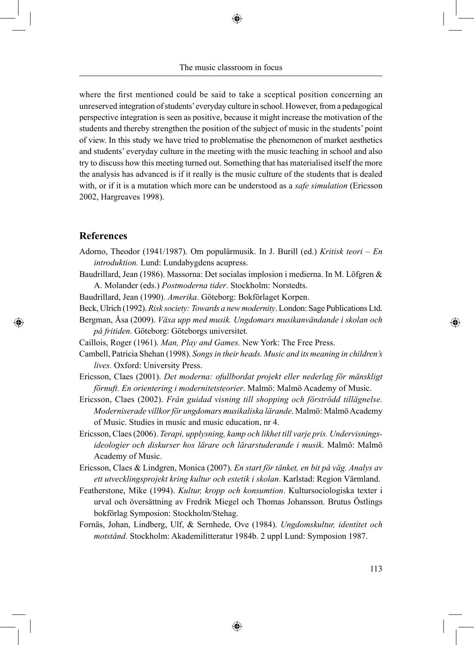The music classroom in focus

♠

where the first mentioned could be said to take a sceptical position concerning an unreserved integration of students' everyday culture in school. However, from a pedagogical perspective integration is seen as positive, because it might increase the motivation of the students and thereby strengthen the position of the subject of music in the students' point of view. In this study we have tried to problematise the phenomenon of market aesthetics and students' everyday culture in the meeting with the music teaching in school and also try to discuss how this meeting turned out. Something that has materialised itself the more the analysis has advanced is if it really is the music culture of the students that is dealed with, or if it is a mutation which more can be understood as a *safe simulation* (Ericsson 2002, Hargreaves 1998).

### **References**

⊕

- Adorno, Theodor (1941/1987). Om populärmusik. In J. Burill (ed.) *Kritisk teori En introduktion.* Lund: Lundabygdens acupress.
- Baudrillard, Jean (1986). Massorna: Det socialas implosion i medierna. In M. Löfgren & A. Molander (eds.) *Postmoderna tider*. Stockholm: Norstedts.
- Baudrillard, Jean (1990). *Amerika*. Göteborg: Bokförlaget Korpen.
- Beck, Ulrich (1992). *Risk society: Towards a new modernity*. London: Sage Publications Ltd.
- Bergman, Åsa (2009). *Växa upp med musik. Ungdomars musikanvändande i skolan och på fritiden*. Göteborg: Göteborgs universitet.
- Caillois, Roger (1961). *Man, Play and Games.* New York: The Free Press.
- Cambell, Patricia Shehan (1998). *Songs in their heads. Music and its meaning in children's lives.* Oxford: University Press.
- Ericsson, Claes (2001). *Det moderna: ofullbordat projekt eller nederlag för mänskligt förnuft. En orientering i modernitetsteorier*. Malmö: Malmö Academy of Music.
- Ericsson, Claes (2002). *Från guidad visning till shopping och förströdd tillägnelse. Moderniserade villkor för ungdomars musikaliska lärande*. Malmö: Malmö Academy of Music. Studies in music and music education, nr 4.
- Ericsson, Claes (2006). *Terapi, upplysning, kamp och likhet till varje pris. Undervisningsideologier och diskurser hos lärare och lärarstuderande i musik*. Malmö: Malmö Academy of Music.
- Ericsson, Claes & Lindgren, Monica (2007). *En start för tänket, en bit på väg. Analys av ett utvecklingsprojekt kring kultur och estetik i skolan*. Karlstad: Region Värmland.
- Featherstone, Mike (1994). *Kultur, kropp och konsumtion*. Kultursociologiska texter i urval och översättning av Fredrik Miegel och Thomas Johansson. Brutus Östlings bokförlag Symposion: Stockholm/Stehag.
- Fornäs, Johan, Lindberg, Ulf, & Sernhede, Ove (1984). *Ungdomskultur, identitet och motstånd*. Stockholm: Akademilitteratur 1984b. 2 uppl Lund: Symposion 1987.

⊕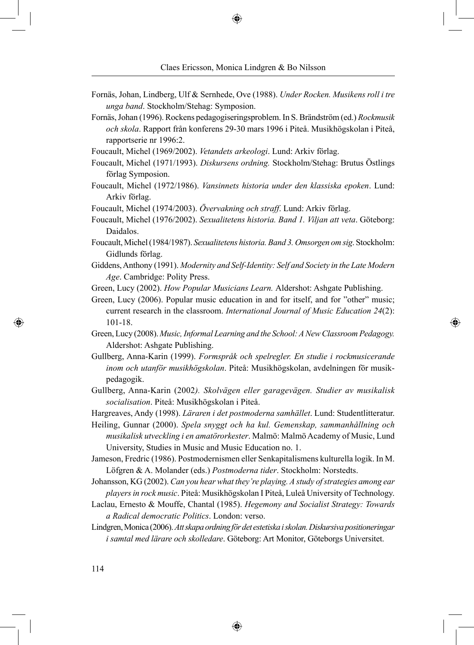- Fornäs, Johan, Lindberg, Ulf & Sernhede, Ove (1988). *Under Rocken. Musikens roll i tre unga band*. Stockholm/Stehag: Symposion.
- Fornäs, Johan (1996). Rockens pedagogiseringsproblem. In S. Brändström (ed.) *Rockmusik och skola*. Rapport från konferens 29-30 mars 1996 i Piteå. Musikhögskolan i Piteå, rapportserie nr 1996:2.
- Foucault, Michel (1969/2002). *Vetandets arkeologi*. Lund: Arkiv förlag.
- Foucault, Michel (1971/1993). *Diskursens ordning.* Stockholm/Stehag: Brutus Östlings förlag Symposion.
- Foucault, Michel (1972/1986). *Vansinnets historia under den klassiska epoken*. Lund: Arkiv förlag.
- Foucault, Michel (1974/2003). *Övervakning och straff*. Lund: Arkiv förlag.
- Foucault, Michel (1976/2002). *Sexualitetens historia. Band 1. Viljan att veta*. Göteborg: Daidalos.
- Foucault, Michel (1984/1987). *Sexualitetens historia. Band 3. Omsorgen om sig*. Stockholm: Gidlunds förlag.
- Giddens, Anthony (1991). *Modernity and Self-Identity: Self and Society in the Late Modern Age*. Cambridge: Polity Press.
- Green, Lucy (2002). *How Popular Musicians Learn.* Aldershot: Ashgate Publishing.
- Green, Lucy (2006). Popular music education in and for itself, and for "other" music; current research in the classroom. *International Journal of Music Education 24*(2): 101-18.
- Green, Lucy (2008). *Music, Informal Learning and the School: A New Classroom Pedagogy.*  Aldershot: Ashgate Publishing.
- Gullberg, Anna-Karin (1999). *Formspråk och spelregler. En studie i rockmusicerande inom och utanför musikhögskolan*. Piteå: Musikhögskolan, avdelningen för musikpedagogik.
- Gullberg, Anna-Karin (2002*). Skolvägen eller garagevägen. Studier av musikalisk socialisation*. Piteå: Musikhögskolan i Piteå.
- Hargreaves, Andy (1998). *Läraren i det postmoderna samhället*. Lund: Studentlitteratur.
- Heiling, Gunnar (2000). *Spela snyggt och ha kul. Gemenskap, sammanhållning och musikalisk utveckling i en amatörorkester*. Malmö: Malmö Academy of Music, Lund University, Studies in Music and Music Education no. 1.
- Jameson, Fredric (1986). Postmodernismen eller Senkapitalismens kulturella logik. In M. Löfgren & A. Molander (eds.) *Postmoderna tider*. Stockholm: Norstedts.
- Johansson, KG (2002). *Can you hear what they're playing. A study of strategies among ear players in rock music*. Piteå: Musikhögskolan I Piteå, Luleå University of Technology.
- Laclau, Ernesto & Mouffe, Chantal (1985). *Hegemony and Socialist Strategy: Towards a Radical democratic Politics*. London: verso.
- Lindgren, Monica (2006). *Att skapa ordning för det estetiska i skolan. Diskursiva positioneringar i samtal med lärare och skolledare*. Göteborg: Art Monitor, Göteborgs Universitet.

⊕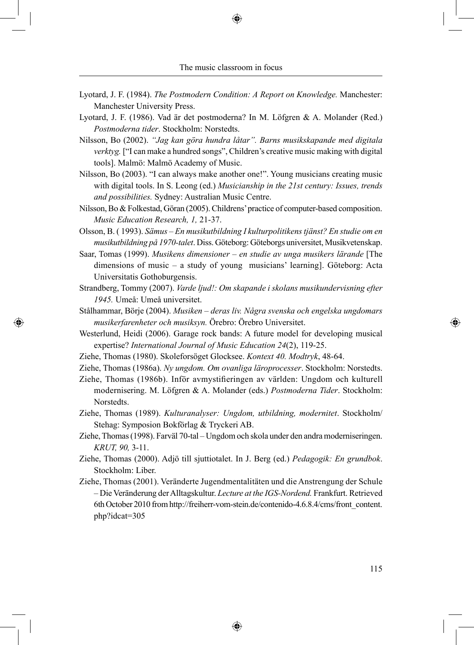- Lyotard, J. F. (1984). *The Postmodern Condition: A Report on Knowledge.* Manchester: Manchester University Press.
- Lyotard, J. F. (1986). Vad är det postmoderna? In M. Löfgren & A. Molander (Red.) *Postmoderna tider*. Stockholm: Norstedts.
- Nilsson, Bo (2002). *"Jag kan göra hundra låtar". Barns musikskapande med digitala verktyg.* ["I can make a hundred songs", Children's creative music making with digital tools]. Malmö: Malmö Academy of Music.
- Nilsson, Bo (2003). "I can always make another one!". Young musicians creating music with digital tools. In S. Leong (ed.) *Musicianship in the 21st century: Issues, trends and possibilities.* Sydney: Australian Music Centre.
- Nilsson, Bo & Folkestad, Göran (2005). Childrens' practice of computer-based composition. *Music Education Research, 1,* 21-37.

Olsson, B. ( 1993). *Sämus – En musikutbildning I kulturpolitikens tjänst? En studie om en musikutbildning på 1970-talet*. Diss. Göteborg: Göteborgs universitet, Musikvetenskap.

Saar, Tomas (1999). *Musikens dimensioner – en studie av unga musikers lärande* [The dimensions of music – a study of young musicians' learning]. Göteborg: Acta Universitatis Gothoburgensis.

Strandberg, Tommy (2007). *Varde ljud!: Om skapande i skolans musikundervisning efter 1945.* Umeå: Umeå universitet.

- Stålhammar, Börje (2004). *Musiken deras liv. Några svenska och engelska ungdomars musikerfarenheter och musiksyn.* Örebro: Örebro Universitet.
- Westerlund, Heidi (2006). Garage rock bands: A future model for developing musical expertise? *International Journal of Music Education 24*(2), 119-25.
- Ziehe, Thomas (1980). Skoleforsöget Glocksee. *Kontext 40. Modtryk*, 48-64.

◈

- Ziehe, Thomas (1986a). *Ny ungdom. Om ovanliga läroprocesser*. Stockholm: Norstedts.
- Ziehe, Thomas (1986b). Inför avmystifieringen av världen: Ungdom och kulturell modernisering. M. Löfgren & A. Molander (eds.) *Postmoderna Tider*. Stockholm: Norstedts.
- Ziehe, Thomas (1989). *Kulturanalyser: Ungdom, utbildning, modernitet*. Stockholm/ Stehag: Symposion Bokförlag & Tryckeri AB.
- Ziehe, Thomas (1998). Farväl 70-tal Ungdom och skola under den andra moderniseringen. *KRUT, 90,* 3-11.
- Ziehe, Thomas (2000). Adjö till sjuttiotalet. In J. Berg (ed.) *Pedagogik: En grundbok*. Stockholm: Liber.
- Ziehe, Thomas (2001). Veränderte Jugendmentalitäten und die Anstrengung der Schule – Die Veränderung der Alltagskultur. *Lecture at the IGS-Nordend.* Frankfurt. Retrieved 6th October 2010 from http://freiherr-vom-stein.de/contenido-4.6.8.4/cms/front\_content. php?idcat=305

⊕